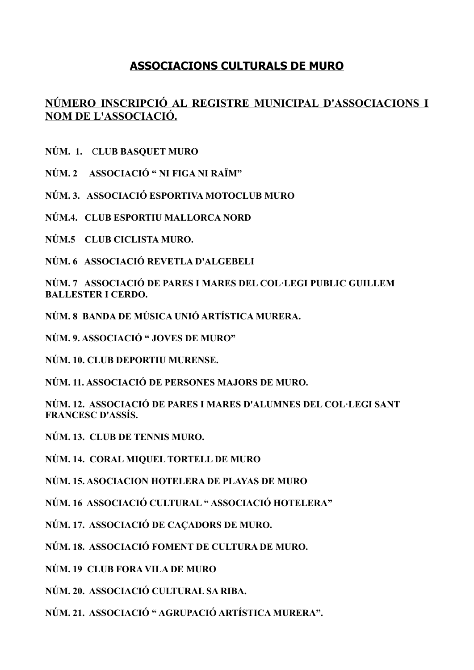## **ASSOCIACIONS CULTURALS DE MURO**

## **NÚMERO INSCRIPCIÓ AL REGISTRE MUNICIPAL D'ASSOCIACIONS I NOM DE L'ASSOCIACIÓ.**

**NÚM. 1.** C**LUB BASQUET MURO**

**NÚM. 2 ASSOCIACIÓ " NI FIGA NI RAÏM"**

**NÚM. 3. ASSOCIACIÓ ESPORTIVA MOTOCLUB MURO**

**NÚM.4. CLUB ESPORTIU MALLORCA NORD**

**NÚM.5 CLUB CICLISTA MURO.**

**NÚM. 6 ASSOCIACIÓ REVETLA D'ALGEBELI**

**NÚM. 7 ASSOCIACIÓ DE PARES I MARES DEL COL·LEGI PUBLIC GUILLEM BALLESTER I CERDO.**

**NÚM. 8 BANDA DE MÚSICA UNIÓ ARTÍSTICA MURERA.**

**NÚM. 9. ASSOCIACIÓ " JOVES DE MURO"**

**NÚM. 10. CLUB DEPORTIU MURENSE.**

**NÚM. 11. ASSOCIACIÓ DE PERSONES MAJORS DE MURO.**

**NÚM. 12. ASSOCIACIÓ DE PARES I MARES D'ALUMNES DEL COL·LEGI SANT FRANCESC D'ASSÍS.**

**NÚM. 13. CLUB DE TENNIS MURO.**

**NÚM. 14. CORAL MIQUEL TORTELL DE MURO**

**NÚM. 15. ASOCIACION HOTELERA DE PLAYAS DE MURO**

**NÚM. 16 ASSOCIACIÓ CULTURAL " ASSOCIACIÓ HOTELERA"**

**NÚM. 17. ASSOCIACIÓ DE CAÇADORS DE MURO.**

**NÚM. 18. ASSOCIACIÓ FOMENT DE CULTURA DE MURO.**

**NÚM. 19 CLUB FORA VILA DE MURO**

**NÚM. 20. ASSOCIACIÓ CULTURAL SA RIBA.**

**NÚM. 21. ASSOCIACIÓ " AGRUPACIÓ ARTÍSTICA MURERA".**